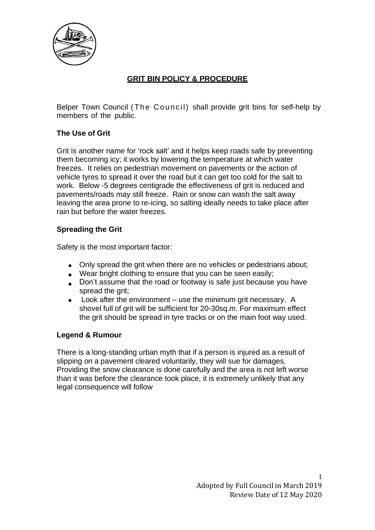

## **GRIT BIN POLICY & PROCEDURE**

Belper Town Council (The Council) shall provide grit bins for self-help by members of the public.

### **The Use of Grit**

Grit is another name for 'rock salt' and it helps keep roads safe by preventing them becoming icy; it works by lowering the temperature at which water freezes. It relies on pedestrian movement on pavements or the action of vehicle tyres to spread it over the road but it can get too cold for the salt to work. Below -5 degrees centigrade the effectiveness of grit is reduced and pavements/roads may still freeze. Rain or snow can wash the salt away leaving the area prone to re-icing, so salting ideally needs to take place after rain but before the water freezes.

### **Spreading the Grit**

Safety is the most important factor:

- Only spread the grit when there are no vehicles or pedestrians about;
- Wear bright clothing to ensure that you can be seen easily;
- Don't assume that the road or footway is safe just because you have spread the grit;
- Look after the environment use the minimum grit necessary. A shovel full of grit will be sufficient for 20-30sq.m. For maximum effect the grit should be spread in tyre tracks or on the main foot way used.

#### **Legend & Rumour**

There is a long-standing urban myth that if a person is injured as a result of slipping on a pavement cleared voluntarily, they will sue for damages. Providing the snow clearance is done carefully and the area is not left worse than it was before the clearance took place, it is extremely unlikely that any legal consequence will follow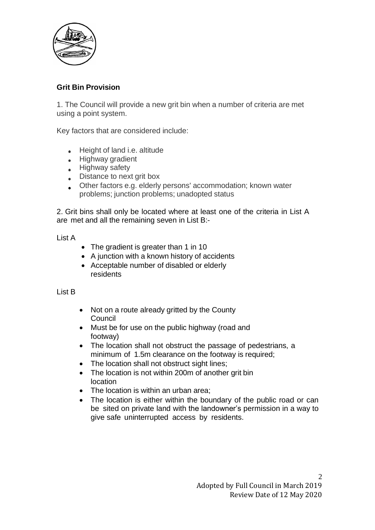

### **Grit Bin Provision**

1. The Council will provide a new grit bin when a number of criteria are met using a point system.

Key factors that are considered include:

- $\bullet$ Height of land i.e. altitude
- Highway gradient
- Highway safety
- Distance to next grit box
- Other factors e.g. elderly persons' accommodation; known water problems; junction problems; unadopted status

2. Grit bins shall only be located where at least one of the criteria in List A are met and all the remaining seven in List B:-

List A

- The gradient is greater than 1 in 10
- A junction with a known history of accidents
- Acceptable number of disabled or elderly residents

#### List B

- Not on a route already gritted by the County Council
- Must be for use on the public highway (road and footway)
- The location shall not obstruct the passage of pedestrians, a minimum of 1.5m clearance on the footway is required;
- The location shall not obstruct sight lines;
- The location is not within 200m of another grit bin location
- The location is within an urban area:
- The location is either within the boundary of the public road or can be sited on private land with the landowner's permission in a way to give safe uninterrupted access by residents.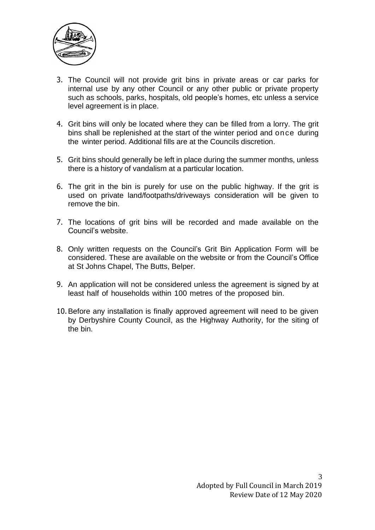

- 3. The Council will not provide grit bins in private areas or car parks for internal use by any other Council or any other public or private property such as schools, parks, hospitals, old people's homes, etc unless a service level agreement is in place.
- 4. Grit bins will only be located where they can be filled from a lorry. The grit bins shall be replenished at the start of the winter period and once during the winter period. Additional fills are at the Councils discretion.
- 5. Grit bins should generally be left in place during the summer months, unless there is a history of vandalism at a particular location.
- 6. The grit in the bin is purely for use on the public highway. If the grit is used on private land/footpaths/driveways consideration will be given to remove the bin.
- 7. The locations of grit bins will be recorded and made available on the Council's website.
- 8. Only written requests on the Council's Grit Bin Application Form will be considered. These are available on the website or from the Council's Office at St Johns Chapel, The Butts, Belper.
- 9. An application will not be considered unless the agreement is signed by at least half of households within 100 metres of the proposed bin.
- 10.Before any installation is finally approved agreement will need to be given by Derbyshire County Council, as the Highway Authority, for the siting of the bin.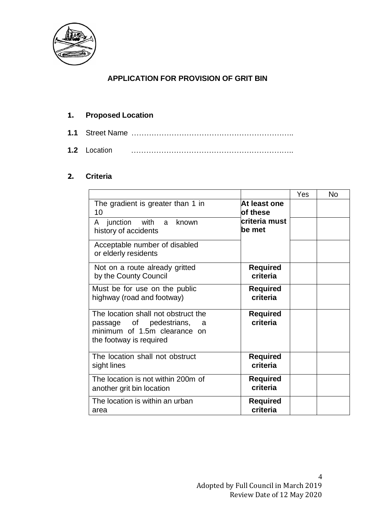

## **APPLICATION FOR PROVISION OF GRIT BIN**

## **1. Proposed Location**

**1.1** Street Name ………………………………………………………..

**1.2** Location ………………………………………………………..

### **2. Criteria**

|                                                                                                                                |                             | Yes | <b>No</b> |
|--------------------------------------------------------------------------------------------------------------------------------|-----------------------------|-----|-----------|
| The gradient is greater than 1 in<br>10                                                                                        | At least one<br>of these    |     |           |
| A junction with a<br>known<br>history of accidents                                                                             | criteria must<br>be met     |     |           |
| Acceptable number of disabled<br>or elderly residents                                                                          |                             |     |           |
| Not on a route already gritted<br>by the County Council                                                                        | <b>Required</b><br>criteria |     |           |
| Must be for use on the public<br>highway (road and footway)                                                                    | <b>Required</b><br>criteria |     |           |
| The location shall not obstruct the<br>passage of pedestrians,<br>a<br>minimum of 1.5m clearance on<br>the footway is required | <b>Required</b><br>criteria |     |           |
| The location shall not obstruct<br>sight lines                                                                                 | <b>Required</b><br>criteria |     |           |
| The location is not within 200m of<br>another grit bin location                                                                | Required<br>criteria        |     |           |
| The location is within an urban<br>area                                                                                        | <b>Required</b><br>criteria |     |           |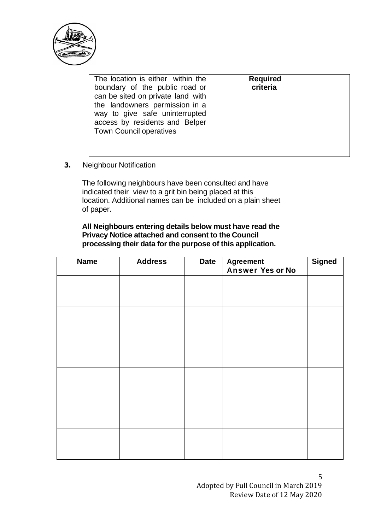

| The location is either within the<br>boundary of the public road or<br>can be sited on private land with<br>the landowners permission in a<br>way to give safe uninterrupted<br>access by residents and Belper<br><b>Town Council operatives</b> | <b>Required</b><br>criteria |  |  |
|--------------------------------------------------------------------------------------------------------------------------------------------------------------------------------------------------------------------------------------------------|-----------------------------|--|--|
|                                                                                                                                                                                                                                                  |                             |  |  |

**3.** Neighbour Notification

The following neighbours have been consulted and have indicated their view to a grit bin being placed at this location. Additional names can be included on a plain sheet of paper.

**All Neighbours entering details below must have read the Privacy Notice attached and consent to the Council processing their data for the purpose of this application.**

| <b>Name</b> | <b>Address</b> | <b>Date</b> | <b>Agreement</b><br>Answer Yes or No | <b>Signed</b> |
|-------------|----------------|-------------|--------------------------------------|---------------|
|             |                |             |                                      |               |
|             |                |             |                                      |               |
|             |                |             |                                      |               |
|             |                |             |                                      |               |
|             |                |             |                                      |               |
|             |                |             |                                      |               |
|             |                |             |                                      |               |
|             |                |             |                                      |               |
|             |                |             |                                      |               |
|             |                |             |                                      |               |
|             |                |             |                                      |               |
|             |                |             |                                      |               |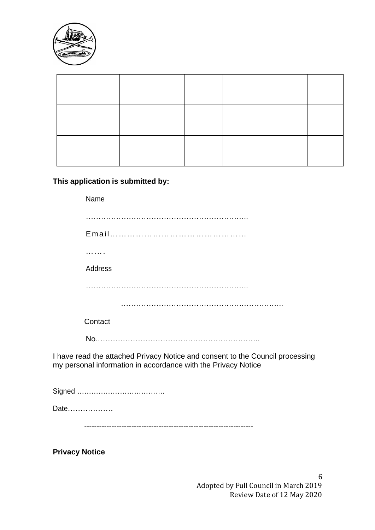

# **This application is submitted by:**

| Name                                                                                                                                           |
|------------------------------------------------------------------------------------------------------------------------------------------------|
|                                                                                                                                                |
|                                                                                                                                                |
|                                                                                                                                                |
| Address                                                                                                                                        |
|                                                                                                                                                |
|                                                                                                                                                |
| Contact                                                                                                                                        |
|                                                                                                                                                |
| I have read the attached Privacy Notice and consent to the Council processing<br>my personal information in accordance with the Privacy Notice |
|                                                                                                                                                |
| Date                                                                                                                                           |

--------------------------------------------------------------------

**Privacy Notice**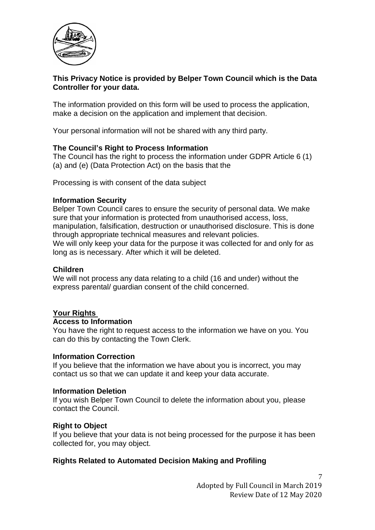

### **This Privacy Notice is provided by Belper Town Council which is the Data Controller for your data.**

The information provided on this form will be used to process the application, make a decision on the application and implement that decision.

Your personal information will not be shared with any third party.

#### **The Council's Right to Process Information**

The Council has the right to process the information under GDPR Article 6 (1) (a) and (e) (Data Protection Act) on the basis that the

Processing is with consent of the data subject

#### **Information Security**

Belper Town Council cares to ensure the security of personal data. We make sure that your information is protected from unauthorised access, loss, manipulation, falsification, destruction or unauthorised disclosure. This is done through appropriate technical measures and relevant policies. We will only keep your data for the purpose it was collected for and only for as long as is necessary. After which it will be deleted.

#### **Children**

We will not process any data relating to a child (16 and under) without the express parental/ guardian consent of the child concerned.

#### **Your Rights**

#### **Access to Information**

You have the right to request access to the information we have on you. You can do this by contacting the Town Clerk.

#### **Information Correction**

If you believe that the information we have about you is incorrect, you may contact us so that we can update it and keep your data accurate.

#### **Information Deletion**

If you wish Belper Town Council to delete the information about you, please contact the Council.

#### **Right to Object**

If you believe that your data is not being processed for the purpose it has been collected for, you may object.

#### **Rights Related to Automated Decision Making and Profiling**

7 Adopted by Full Council in March 2019 Review Date of 12 May 2020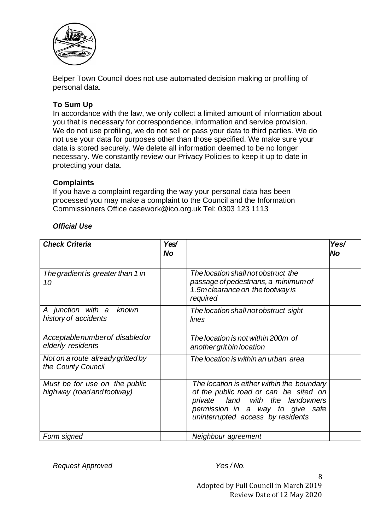

Belper Town Council does not use automated decision making or profiling of personal data.

### **To Sum Up**

In accordance with the law, we only collect a limited amount of information about you that is necessary for correspondence, information and service provision. We do not use profiling, we do not sell or pass your data to third parties. We do not use your data for purposes other than those specified. We make sure your data is stored securely. We delete all information deemed to be no longer necessary. We constantly review our Privacy Policies to keep it up to date in protecting your data.

### **Complaints**

If you have a complaint regarding the way your personal data has been processed you may make a complaint to the Council and the Information Commissioners Office casework@ico.org.uk Tel: 0303 123 1113

| <b>Check Criteria</b>                                       | Yes/<br><b>No</b> |                                                                                                                                                                                                  | Yes/<br>No |
|-------------------------------------------------------------|-------------------|--------------------------------------------------------------------------------------------------------------------------------------------------------------------------------------------------|------------|
| The gradient is greater than 1 in<br>10                     |                   | The location shall not obstruct the<br>passage of pedestrians, a minimum of<br>1.5m clearance on the footway is<br>required                                                                      |            |
| A junction with a known<br>history of accidents             |                   | The location shall not obstruct sight<br>lines                                                                                                                                                   |            |
| Acceptable number of disabled or<br>elderly residents       |                   | The location is not within 200m of<br>another grit bin location                                                                                                                                  |            |
| Not on a route already gritted by<br>the County Council     |                   | The location is within an urban area                                                                                                                                                             |            |
| Must be for use on the public<br>highway (road and footway) |                   | The location is either within the boundary<br>of the public road or can be sited on<br>private land with the landowners<br>permission in a way to give safe<br>uninterrupted access by residents |            |
| Form signed                                                 |                   | Neighbour agreement                                                                                                                                                                              |            |

### *Official Use*

*Request Approved Yes / No.*

Adopted by Full Council in March 2019 Review Date of 12 May 2020

8